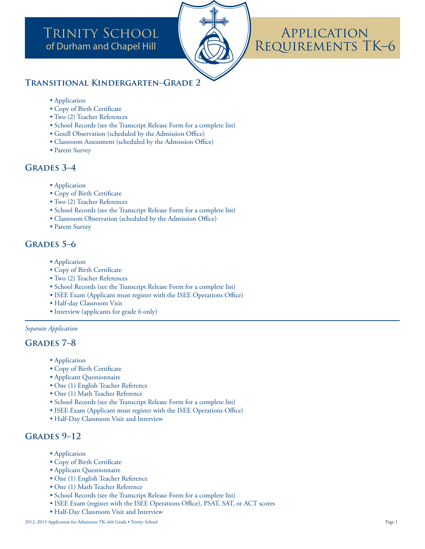# **TRINITY SCHOOL** of Durham and Chapel Hill



# APPLICATION REQUIREMENTS TK-6

## **TRANSITIONAL KINDERGARTEN-GRADE 2**

- Application
- Copy of Birth Certificate
- Two (2) Teacher References
- · School Records (see the Transcript Release Form for a complete list)
- Gesell Observation (scheduled by the Admission Office)
- Classroom Assessment (scheduled by the Admission Office)
- Parent Survey

# **GRADES 3-4**

- Application
- · Copy of Birth Certificate
- Two (2) Teacher References
- School Records (see the Transcript Release Form for a complete list)
- Classroom Observation (scheduled by the Admission Office)
- Parent Survey

### **GRADES 5-6**

- Application
- · Copy of Birth Certificate
- Two (2) Teacher References
- School Records (see the Transcript Release Form for a complete list)
- ISEE Exam (Applicant must register with the ISEE Operations Office)
- · Half-day Classroom Visit
- Interview (applicants for grade 6 only)

#### Separate Application

#### **GRADES 7-8**

- Application
- Copy of Birth Certificate
- · Applicant Questionnaire
- · One (1) English Teacher Reference
- One (1) Math Teacher Reference
- School Records (see the Transcript Release Form for a complete list)
- ISEE Exam (Applicant must register with the ISEE Operations Office)
- Half-Day Classroom Visit and Interview

### GRADES 9-12

- Application
- · Copy of Birth Certificate
- Applicant Questionnaire
- One (1) English Teacher Reference
- One (1) Math Teacher Reference
- School Records (see the Transcript Release Form for a complete list)
- ISEE Exam (register with the ISEE Operations Office), PSAT, SAT, or ACT scores
- · Half-Day Classroom Visit and Interview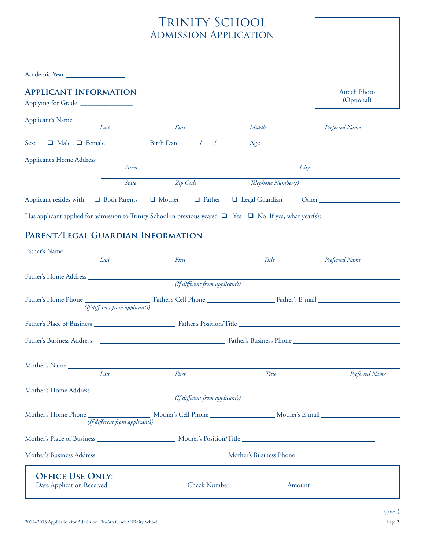# TRINITY SCHOOL Admission Application

| <b>APPLICANT INFORMATION</b><br>Applying for Grade |                                                                                                                                        |                                             |                                                                                                                     | <b>Attach Photo</b><br>(Optional) |
|----------------------------------------------------|----------------------------------------------------------------------------------------------------------------------------------------|---------------------------------------------|---------------------------------------------------------------------------------------------------------------------|-----------------------------------|
| Applicant's Name                                   |                                                                                                                                        |                                             |                                                                                                                     |                                   |
|                                                    | Last                                                                                                                                   | First                                       | Middle                                                                                                              | Preferred Name                    |
| $\Box$ Male $\Box$ Female<br>Sex:                  |                                                                                                                                        | Birth Date $\frac{1}{\sqrt{1-\frac{1}{2}}}$ |                                                                                                                     |                                   |
|                                                    |                                                                                                                                        |                                             |                                                                                                                     |                                   |
|                                                    | Street                                                                                                                                 |                                             | City                                                                                                                |                                   |
|                                                    | <b>State</b>                                                                                                                           | Zip Code                                    | Telephone Number(s)                                                                                                 |                                   |
| Applicant resides with: Q Both Parents Q Mother    |                                                                                                                                        | $\Box$ Father                               | □ Legal Guardian                                                                                                    |                                   |
|                                                    |                                                                                                                                        |                                             | Has applicant applied for admission to Trinity School in previous years? $\Box$ Yes $\Box$ No If yes, what year(s)? |                                   |
| PARENT/LEGAL GUARDIAN INFORMATION                  |                                                                                                                                        |                                             |                                                                                                                     |                                   |
|                                                    | Last                                                                                                                                   | First                                       | Title                                                                                                               | Preferred Name                    |
|                                                    |                                                                                                                                        |                                             |                                                                                                                     |                                   |
|                                                    |                                                                                                                                        | (If different from applicant's)             |                                                                                                                     |                                   |
|                                                    | $\pi c \nu \alpha$ $c$<br>$\mathbf{L} = \mathbf{L} \mathbf{L} + \mathbf{L} \mathbf{L} + \mathbf{L} \mathbf{L} + \mathbf{L} \mathbf{L}$ |                                             |                                                                                                                     |                                   |

| (If different from applicant's) |                                 |       |                |  |  |  |  |
|---------------------------------|---------------------------------|-------|----------------|--|--|--|--|
|                                 |                                 |       |                |  |  |  |  |
|                                 |                                 |       |                |  |  |  |  |
|                                 |                                 |       |                |  |  |  |  |
|                                 |                                 |       |                |  |  |  |  |
| Last                            | First                           | Title | Preferred Name |  |  |  |  |
| Mother's Home Address           |                                 |       |                |  |  |  |  |
|                                 | (If different from applicant's) |       |                |  |  |  |  |
|                                 |                                 |       |                |  |  |  |  |
| (If different from applicant's) |                                 |       |                |  |  |  |  |
|                                 |                                 |       |                |  |  |  |  |
|                                 |                                 |       |                |  |  |  |  |
| <b>OFFICE USE ONLY:</b>         |                                 |       |                |  |  |  |  |

٦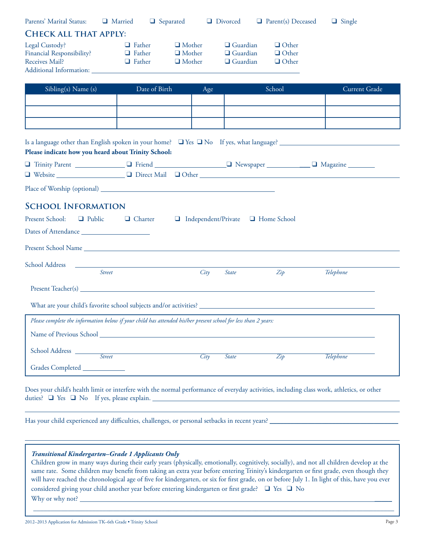| Parents' Marital Status:                                                                                                                                                                                                       | $\Box$ Married $\Box$ Separated |                                               | Divorced                           | $\Box$ Parent(s) Deceased    | $\Box$ Single |
|--------------------------------------------------------------------------------------------------------------------------------------------------------------------------------------------------------------------------------|---------------------------------|-----------------------------------------------|------------------------------------|------------------------------|---------------|
| <b>CHECK ALL THAT APPLY:</b>                                                                                                                                                                                                   |                                 |                                               |                                    |                              |               |
| Legal Custody?<br>Financial Responsibility?                                                                                                                                                                                    | $\Box$ Father<br>$\Box$ Father  | $\Box$ Mother<br>$\Box$ Mother                | $\Box$ Guardian<br>$\Box$ Guardian | $\Box$ Other<br>$\Box$ Other |               |
| <b>Receives Mail?</b>                                                                                                                                                                                                          | $\Box$ Father                   | $\Box$ Mother                                 | $\Box$ Guardian                    | $\Box$ Other                 |               |
| Additional Information: New York Street, New York Street, New York Street, New York Street, New York Street, New York Street, New York Street, New York Street, New York Street, New York Street, New York Street, New York St |                                 |                                               |                                    |                              |               |
| Sibling(s) Name (s)                                                                                                                                                                                                            | Date of Birth                   | Age                                           |                                    | School                       | Current Grade |
|                                                                                                                                                                                                                                |                                 |                                               |                                    |                              |               |
|                                                                                                                                                                                                                                |                                 |                                               |                                    |                              |               |
|                                                                                                                                                                                                                                |                                 |                                               |                                    |                              |               |
| Is a language other than English spoken in your home? $\Box$ Yes $\Box$ No If yes, what language?                                                                                                                              |                                 |                                               |                                    |                              |               |
| Please indicate how you heard about Trinity School:<br>O Trinity Parent _______________ O Friend ___________________ O Newspaper ____________ O Magazine ________                                                              |                                 |                                               |                                    |                              |               |
|                                                                                                                                                                                                                                |                                 |                                               |                                    |                              |               |
|                                                                                                                                                                                                                                |                                 |                                               |                                    |                              |               |
| <b>SCHOOL INFORMATION</b>                                                                                                                                                                                                      |                                 |                                               |                                    |                              |               |
| Present School:<br>$\Box$ Public                                                                                                                                                                                               | □ Charter                       | $\Box$ Independent/Private $\Box$ Home School |                                    |                              |               |
| Dates of Attendance                                                                                                                                                                                                            |                                 |                                               |                                    |                              |               |
|                                                                                                                                                                                                                                |                                 |                                               |                                    |                              |               |
| School Address and the contract of the contract of the contract of the contract of the contract of the contract of the contract of the contract of the contract of the contract of the contract of the contract of the contrac |                                 |                                               |                                    |                              |               |
| <b>Street</b>                                                                                                                                                                                                                  |                                 | City                                          | <b>State</b>                       | Zip                          | Telephone     |
| Present Teacher(s)                                                                                                                                                                                                             |                                 |                                               |                                    |                              |               |
|                                                                                                                                                                                                                                |                                 |                                               |                                    |                              |               |
| Please complete the information below if your child has attended his/her present school for less than 2 years:                                                                                                                 |                                 |                                               |                                    |                              |               |
| Name of Previous School Name of Previous School                                                                                                                                                                                |                                 |                                               |                                    |                              |               |
| School Address<br>Street                                                                                                                                                                                                       |                                 | City                                          | <b>State</b>                       | $\overline{Zip}$             | Telephone     |
| Grades Completed ______________                                                                                                                                                                                                |                                 |                                               |                                    |                              |               |
|                                                                                                                                                                                                                                |                                 |                                               |                                    |                              |               |

Does your child's health limit or interfere with the normal performance of everyday activities, including class work, athletics, or other duties?  $\Box$  Yes  $\Box$  No If yes, please explain.

Has your child experienced any difficulties, challenges, or personal setbacks in recent years? \_

#### *Transitional Kindergarten–Grade 1 Applicants Only*

Children grow in many ways during their early years (physically, emotionally, cognitively, socially), and not all children develop at the same rate. Some children may benefit from taking an extra year before entering Trinity's kindergarten or first grade, even though they will have reached the chronological age of five for kindergarten, or six for first grade, on or before July 1. In light of this, have you ever considered giving your child another year before entering kindergarten or first grade?  $\Box$  Yes  $\Box$  No Why or why not? \_

\_\_\_\_\_\_\_\_\_\_\_\_\_\_\_\_\_\_\_\_\_\_\_\_\_\_\_\_\_\_\_\_\_\_\_\_\_\_\_\_\_\_\_\_\_\_\_\_\_\_\_\_\_\_\_\_\_\_\_\_\_\_\_\_\_\_\_\_\_\_\_\_\_\_\_\_\_\_\_\_\_\_\_\_\_\_\_\_\_\_\_\_\_\_\_\_\_\_\_\_\_\_\_\_

 $\overline{a}$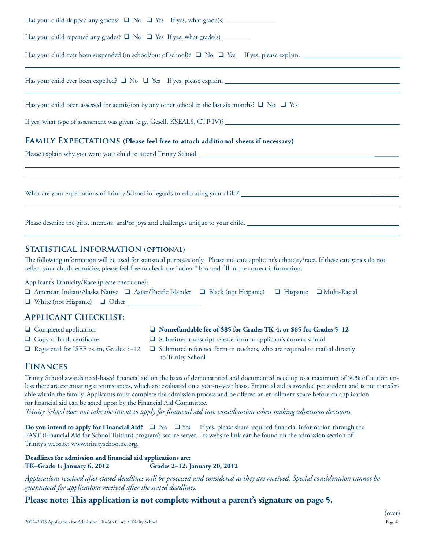| Has your child repeated any grades? $\Box$ No $\Box$ Yes If yes, what grade(s) _________                    |
|-------------------------------------------------------------------------------------------------------------|
| Has your child ever been suspended (in school/out of school)? $\Box$ No $\Box$ Yes If yes, please explain.  |
| ,我们也不能在这里的时候,我们也不能在这里的时候,我们也不能会在这里的时候,我们也不能会在这里的时候,我们也不能会在这里的时候,我们也不能会在这里的时候,我们也不                           |
| Has your child been assessed for admission by any other school in the last six months? $\Box$ No $\Box$ Yes |
| If yes, what type of assessment was given (e.g., Gesell, KSEALS, CTP IV)?                                   |
| FAMILY EXPECTATIONS (Please feel free to attach additional sheets if necessary)                             |
|                                                                                                             |
|                                                                                                             |

What are your expectations of Trinity School in regards to educating your child? \_\_\_\_\_\_\_\_\_\_\_\_\_\_\_\_\_\_\_\_\_\_\_\_\_\_\_\_\_

Please describe the gifts, interests, and/or joys and challenges unique to your child. \_\_\_\_\_\_\_\_\_\_\_\_\_\_\_\_\_\_\_\_\_\_\_

#### **Statistical Information (optional)**

The following information will be used for statistical purposes only. Please indicate applicant's ethnicity/race. If these categories do not reflect your child's ethnicity, please feel free to check the "other " box and fill in the correct information.

Applicant's Ethnicity/Race (please check one):

| □ American Indian/Alaska Native □ Asian/Pacific Islander □ Black (not Hispanic) □ Hispanic □ Multi-Racial |  |  |
|-----------------------------------------------------------------------------------------------------------|--|--|
| $\Box$ White (not Hispanic) $\Box$ Other                                                                  |  |  |

#### **Applicant Checklist:**

- 
- 
- 
- □ Completed application □ Nonrefundable fee of \$85 for Grades TK-4, or \$65 for Grades 5–12
- $\Box$  Copy of birth certificate  $\Box$  Submitted transcript release form to applicant's current school
- $\Box$  Registered for ISEE exam, Grades 5-12  $\Box$  Submitted reference form to teachers, who are required to mailed directly to Trinity School

#### **Finances**

 $\overline{a}$ 

 $\overline{a}$ 

Trinity School awards need-based financial aid on the basis of demonstrated and documented need up to a maximum of 50% of tuition unless there are extenuating circumstances, which are evaluated on a year-to-year basis. Financial aid is awarded per student and is not transferable within the family. Applicants must complete the admission process and be offered an enrollment space before an application for financial aid can be acted upon by the Financial Aid Committee.

*Trinity School does not take the intent to apply for "nancial aid into consideration when making admission decisions.* 

Do you intend to apply for Financial Aid?  $\Box$  No  $\Box$  Yes If yes, please share required financial information through the FAST (Financial Aid for School Tuition) program's secure server. Its website link can be found on the admission section of Trinity's website: www.trinityschoolnc.org.

#### **Deadlines for admission and !nancial aid applications are: TK–Grade 1: January 6, 2012 Grades 2–12: January 20, 2012**

*Applications received after stated deadlines will be processed and considered as they are received. Special consideration cannot be guaranteed for applications received after the stated deadlines.*

#### Please note: This application is not complete without a parent's signature on page 5.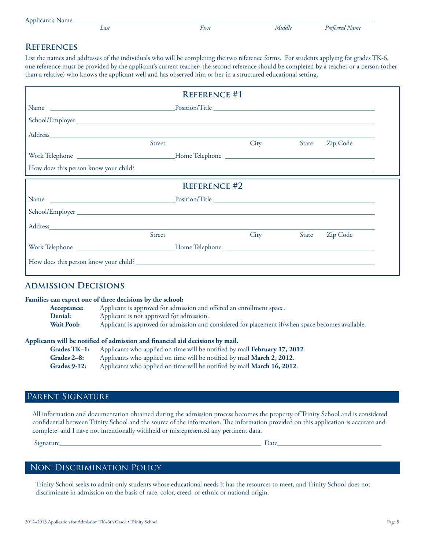|  | Applicant's Name |  |  |  |
|--|------------------|--|--|--|
|--|------------------|--|--|--|

Last

First

Middle

#### **REFERENCES**

List the names and addresses of the individuals who will be completing the two reference forms. For students applying for grades TK-6, one reference must be provided by the applicant's current teacher; the second reference should be completed by a teacher or a person (other than a relative) who knows the applicant well and has observed him or her in a structured educational setting.

|        | <b>REFERENCE #1</b> |      |       |          |  |
|--------|---------------------|------|-------|----------|--|
|        |                     |      |       |          |  |
|        |                     |      |       |          |  |
|        |                     |      |       |          |  |
| Street |                     | City | State | Zip Code |  |
|        |                     |      |       |          |  |
|        |                     |      |       |          |  |
|        | <b>REFERENCE #2</b> |      |       |          |  |
|        |                     |      |       |          |  |
|        |                     |      |       |          |  |
|        |                     |      |       |          |  |
| Street |                     | City | State | Zip Code |  |
|        |                     |      |       |          |  |
|        |                     |      |       |          |  |

#### **ADMISSION DECISIONS**

#### Families can expect one of three decisions by the school:

| Acceptance:       | Applicant is approved for admission and offered an enrollment space.                              |
|-------------------|---------------------------------------------------------------------------------------------------|
| <b>Denial:</b>    | Applicant is not approved for admission.                                                          |
| <b>Wait Pool:</b> | Applicant is approved for admission and considered for placement if/when space becomes available. |

#### Applicants will be notified of admission and financial aid decisions by mail.

| $Grades TK-1:$ | Applicants who applied on time will be notified by mail <b>February 17, 2012.</b> |
|----------------|-----------------------------------------------------------------------------------|
| Grades 2–8:    | Applicants who applied on time will be notified by mail <b>March 2, 2012</b> .    |
| Grades 9-12:   | Applicants who applied on time will be notified by mail March 16, 2012.           |

### PARENT SIGNATURE

All information and documentation obtained during the admission process becomes the property of Trinity School and is considered confidential between Trinity School and the source of the information. The information provided on this application is accurate and complete, and I have not intentionally withheld or misrepresented any pertinent data.

Signature

Date

#### NON-DISCRIMINATION POLICY

Trinity School seeks to admit only students whose educational needs it has the resources to meet, and Trinity School does not discriminate in admission on the basis of race, color, creed, or ethnic or national origin.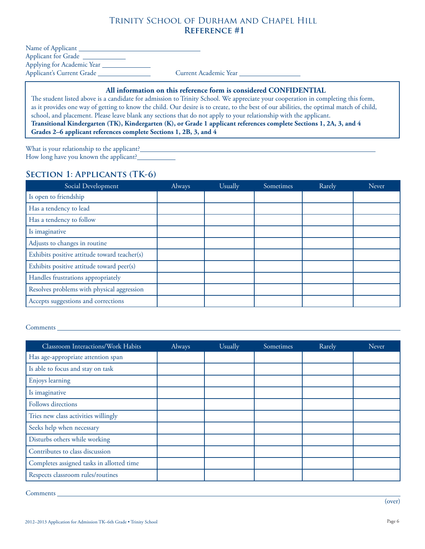## Trinity School of Durham and Chapel Hill  **Reference #1**

| Name of Applicant          |                       |
|----------------------------|-----------------------|
| <b>Applicant for Grade</b> |                       |
| Applying for Academic Year |                       |
| Applicant's Current Grade  | Current Academic Year |

#### **All information on this reference form is considered CONFIDENTIAL**

The student listed above is a candidate for admission to Trinity School. We appreciate your cooperation in completing this form, as it provides one way of getting to know the child. Our desire is to create, to the best of our abilities, the optimal match of child, school, and placement. Please leave blank any sections that do not apply to your relationship with the applicant. **Transitional Kindergarten (TK), Kindergarten (K), or Grade 1 applicant references complete Sections 1, 2A, 3, and 4 Grades 2–6 applicant references complete Sections 1, 2B, 3, and 4**

What is your relationship to the applicant?\_ How long have you known the applicant?\_\_

#### **Section 1: Applicants (TK-6)**

| Social Development                           | Always | Usually | Sometimes | Rarely | Never |
|----------------------------------------------|--------|---------|-----------|--------|-------|
| Is open to friendship                        |        |         |           |        |       |
| Has a tendency to lead                       |        |         |           |        |       |
| Has a tendency to follow                     |        |         |           |        |       |
| Is imaginative                               |        |         |           |        |       |
| Adjusts to changes in routine                |        |         |           |        |       |
| Exhibits positive attitude toward teacher(s) |        |         |           |        |       |
| Exhibits positive attitude toward peer(s)    |        |         |           |        |       |
| Handles frustrations appropriately           |        |         |           |        |       |
| Resolves problems with physical aggression   |        |         |           |        |       |
| Accepts suggestions and corrections          |        |         |           |        |       |

Comments

| Classroom Interactions/Work Habits        | <b>Always</b> | Usually | Sometimes | Rarely | Never |
|-------------------------------------------|---------------|---------|-----------|--------|-------|
| Has age-appropriate attention span        |               |         |           |        |       |
| Is able to focus and stay on task         |               |         |           |        |       |
| Enjoys learning                           |               |         |           |        |       |
| Is imaginative                            |               |         |           |        |       |
| Follows directions                        |               |         |           |        |       |
| Tries new class activities willingly      |               |         |           |        |       |
| Seeks help when necessary                 |               |         |           |        |       |
| Disturbs others while working             |               |         |           |        |       |
| Contributes to class discussion           |               |         |           |        |       |
| Completes assigned tasks in allotted time |               |         |           |        |       |
| Respects classroom rules/routines         |               |         |           |        |       |

Comments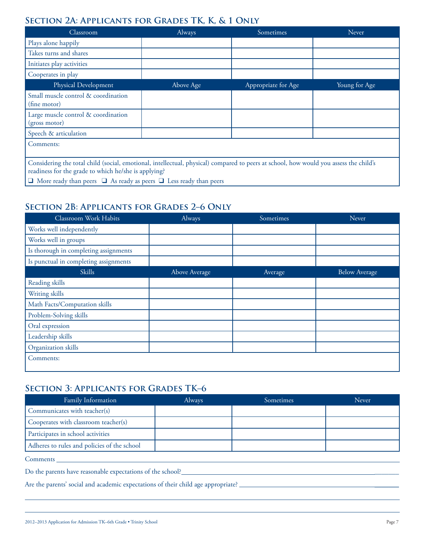# SECTION 2A: APPLICANTS FOR GRADES TK, K, & 1 ONLY

| Classroom                                                                                                                                                                                     | Always    | Sometimes           | Never         |  |  |
|-----------------------------------------------------------------------------------------------------------------------------------------------------------------------------------------------|-----------|---------------------|---------------|--|--|
| Plays alone happily                                                                                                                                                                           |           |                     |               |  |  |
| Takes turns and shares                                                                                                                                                                        |           |                     |               |  |  |
| Initiates play activities                                                                                                                                                                     |           |                     |               |  |  |
| Cooperates in play                                                                                                                                                                            |           |                     |               |  |  |
| Physical Development                                                                                                                                                                          | Above Age | Appropriate for Age | Young for Age |  |  |
| Small muscle control & coordination<br>(fine motor)                                                                                                                                           |           |                     |               |  |  |
| Large muscle control & coordination<br>(gross motor)                                                                                                                                          |           |                     |               |  |  |
| Speech & articulation                                                                                                                                                                         |           |                     |               |  |  |
| Comments:                                                                                                                                                                                     |           |                     |               |  |  |
| Considering the total child (social, emotional, intellectual, physical) compared to peers at school, how would you assess the child's<br>readiness for the grade to which he/she is applying? |           |                     |               |  |  |
| $\Box$ More ready than peers $\Box$ As ready as peers $\Box$ Less ready than peers                                                                                                            |           |                     |               |  |  |

# **SECTION 2B: APPLICANTS FOR GRADES 2-6 ONLY**

| Classroom Work Habits                 | Always        | Sometimes | Never                |
|---------------------------------------|---------------|-----------|----------------------|
| Works well independently              |               |           |                      |
| Works well in groups                  |               |           |                      |
| Is thorough in completing assignments |               |           |                      |
| Is punctual in completing assignments |               |           |                      |
| Skills                                | Above Average | Average   | <b>Below Average</b> |
| Reading skills                        |               |           |                      |
| Writing skills                        |               |           |                      |
| Math Facts/Computation skills         |               |           |                      |
| Problem-Solving skills                |               |           |                      |
| Oral expression                       |               |           |                      |
| Leadership skills                     |               |           |                      |
| Organization skills                   |               |           |                      |
| Comments:                             |               |           |                      |

# **SECTION 3: APPLICANTS FOR GRADES TK-6**

| <b>Always</b> | Sometimes | Never |
|---------------|-----------|-------|
|               |           |       |
|               |           |       |
|               |           |       |
|               |           |       |
|               |           |       |

Comments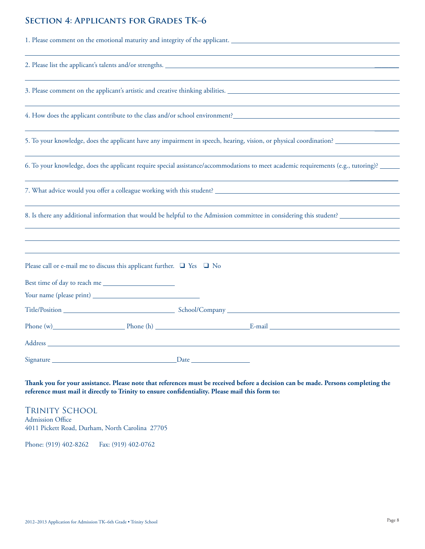# **SECTION 4: APPLICANTS FOR GRADES TK-6**

|                                                                        |  | 1. Please comment on the emotional maturity and integrity of the applicant.                                                                                                                                                    |
|------------------------------------------------------------------------|--|--------------------------------------------------------------------------------------------------------------------------------------------------------------------------------------------------------------------------------|
|                                                                        |  | 2. Please list the applicant's talents and/or strengths.                                                                                                                                                                       |
|                                                                        |  | 3. Please comment on the applicant's artistic and creative thinking abilities.                                                                                                                                                 |
|                                                                        |  |                                                                                                                                                                                                                                |
|                                                                        |  | 5. To your knowledge, does the applicant have any impairment in speech, hearing, vision, or physical coordination?                                                                                                             |
|                                                                        |  | 6. To your knowledge, does the applicant require special assistance/accommodations to meet academic requirements (e.g., tutoring)?                                                                                             |
|                                                                        |  |                                                                                                                                                                                                                                |
|                                                                        |  | 8. Is there any additional information that would be helpful to the Admission committee in considering this student?                                                                                                           |
|                                                                        |  |                                                                                                                                                                                                                                |
| Please call or e-mail me to discuss this applicant further. □ Yes □ No |  |                                                                                                                                                                                                                                |
| Best time of day to reach me                                           |  |                                                                                                                                                                                                                                |
|                                                                        |  |                                                                                                                                                                                                                                |
|                                                                        |  |                                                                                                                                                                                                                                |
|                                                                        |  | Phone (w) Phone (h) E-mail E-mail E-mail E-mail E-mail E-mail E-mail E-mail E-mail E-mail E-mail E-mail E-mail E-mail E-mail E-mail E-mail E-mail E-mail E-mail E-mail E-mail E-mail E-mail E-mail E-mail E-mail E-mail E-mail |
|                                                                        |  |                                                                                                                                                                                                                                |
|                                                                        |  |                                                                                                                                                                                                                                |

Thank you for your assistance. Please note that references must be received before a decision can be made. Persons completing the reference must mail it directly to Trinity to ensure confidentiality. Please mail this form to:

**TRINITY SCHOOL** Admission Office 4011 Pickett Road, Durham, North Carolina 27705

Phone: (919) 402-8262 Fax: (919) 402-0762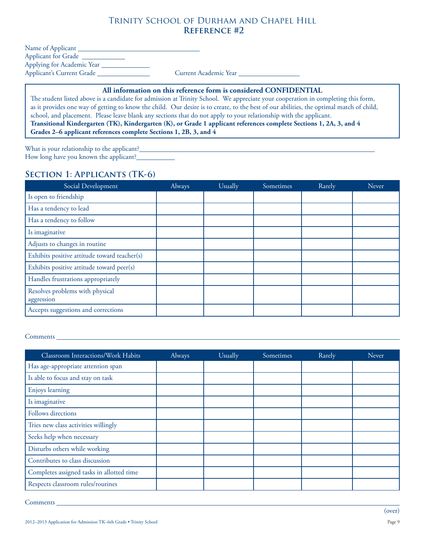### Trinity School of Durham and Chapel Hill **Reference #2**

| Name of Applicant          |                       |
|----------------------------|-----------------------|
| <b>Applicant for Grade</b> |                       |
| Applying for Academic Year |                       |
| Applicant's Current Grade  | Current Academic Year |

#### **All information on this reference form is considered CONFIDENTIAL**

<u> 1980 - Johann Barn, fransk politik (d. 1980)</u>

The student listed above is a candidate for admission at Trinity School. We appreciate your cooperation in completing this form, as it provides one way of getting to know the child. Our desire is to create, to the best of our abilities, the optimal match of child, school, and placement. Please leave blank any sections that do not apply to your relationship with the applicant. **Transitional Kindergarten (TK), Kindergarten (K), or Grade 1 applicant references complete Sections 1, 2A, 3, and 4 Grades 2–6 applicant references complete Sections 1, 2B, 3, and 4**

What is your relationship to the applicant?\_\_ How long have you known the applicant?

### **Section 1: Applicants (TK-6)**

| Social Development                            | <b>Always</b> | Usually | Sometimes | Rarely | Never |
|-----------------------------------------------|---------------|---------|-----------|--------|-------|
| Is open to friendship                         |               |         |           |        |       |
| Has a tendency to lead                        |               |         |           |        |       |
| Has a tendency to follow                      |               |         |           |        |       |
| Is imaginative                                |               |         |           |        |       |
| Adjusts to changes in routine                 |               |         |           |        |       |
| Exhibits positive attitude toward teacher(s)  |               |         |           |        |       |
| Exhibits positive attitude toward peer(s)     |               |         |           |        |       |
| Handles frustrations appropriately            |               |         |           |        |       |
| Resolves problems with physical<br>aggression |               |         |           |        |       |
| Accepts suggestions and corrections           |               |         |           |        |       |

#### Comments

| Classroom Interactions/Work Habits        | Always | Usually | Sometimes | Rarely | Never |
|-------------------------------------------|--------|---------|-----------|--------|-------|
| Has age-appropriate attention span        |        |         |           |        |       |
| Is able to focus and stay on task         |        |         |           |        |       |
| Enjoys learning                           |        |         |           |        |       |
| Is imaginative                            |        |         |           |        |       |
| Follows directions                        |        |         |           |        |       |
| Tries new class activities willingly      |        |         |           |        |       |
| Seeks help when necessary                 |        |         |           |        |       |
| Disturbs others while working             |        |         |           |        |       |
| Contributes to class discussion           |        |         |           |        |       |
| Completes assigned tasks in allotted time |        |         |           |        |       |
| Respects classroom rules/routines         |        |         |           |        |       |

Comments \_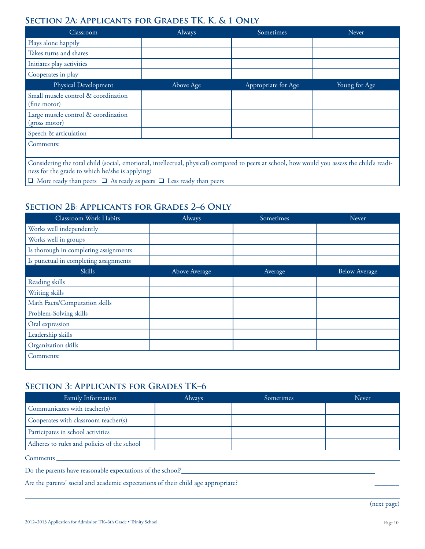# SECTION 2A: APPLICANTS FOR GRADES TK, K, & 1 ONLY

| Classroom                                                                                                                                                                                       | Always    | Sometimes           | Never         |  |  |
|-------------------------------------------------------------------------------------------------------------------------------------------------------------------------------------------------|-----------|---------------------|---------------|--|--|
| Plays alone happily                                                                                                                                                                             |           |                     |               |  |  |
| Takes turns and shares                                                                                                                                                                          |           |                     |               |  |  |
| Initiates play activities                                                                                                                                                                       |           |                     |               |  |  |
| Cooperates in play                                                                                                                                                                              |           |                     |               |  |  |
| Physical Development                                                                                                                                                                            | Above Age | Appropriate for Age | Young for Age |  |  |
| Small muscle control & coordination<br>(fine motor)                                                                                                                                             |           |                     |               |  |  |
| Large muscle control & coordination<br>(gross motor)                                                                                                                                            |           |                     |               |  |  |
| Speech & articulation                                                                                                                                                                           |           |                     |               |  |  |
| Comments:                                                                                                                                                                                       |           |                     |               |  |  |
| Considering the total child (social, emotional, intellectual, physical) compared to peers at school, how would you assess the child's readi-<br>ness for the grade to which he/she is applying? |           |                     |               |  |  |
| $\Box$ More ready than peers $\Box$ As ready as peers $\Box$ Less ready than peers                                                                                                              |           |                     |               |  |  |

# **SECTION 2B: APPLICANTS FOR GRADES 2-6 ONLY**

| Classroom Work Habits                 | Always        | Sometimes | Never                |
|---------------------------------------|---------------|-----------|----------------------|
| Works well independently              |               |           |                      |
| Works well in groups                  |               |           |                      |
| Is thorough in completing assignments |               |           |                      |
| Is punctual in completing assignments |               |           |                      |
| Skills                                | Above Average | Average   | <b>Below Average</b> |
| Reading skills                        |               |           |                      |
| Writing skills                        |               |           |                      |
| Math Facts/Computation skills         |               |           |                      |
| Problem-Solving skills                |               |           |                      |
| Oral expression                       |               |           |                      |
| Leadership skills                     |               |           |                      |
| Organization skills                   |               |           |                      |
| Comments:                             |               |           |                      |

## **SECTION 3: APPLICANTS FOR GRADES TK-6**

| Family Information                          | <b>Always</b> | Sometimes | Never |
|---------------------------------------------|---------------|-----------|-------|
| Communicates with teacher(s)                |               |           |       |
| Cooperates with classroom teacher(s)        |               |           |       |
| Participates in school activities           |               |           |       |
| Adheres to rules and policies of the school |               |           |       |

Page 10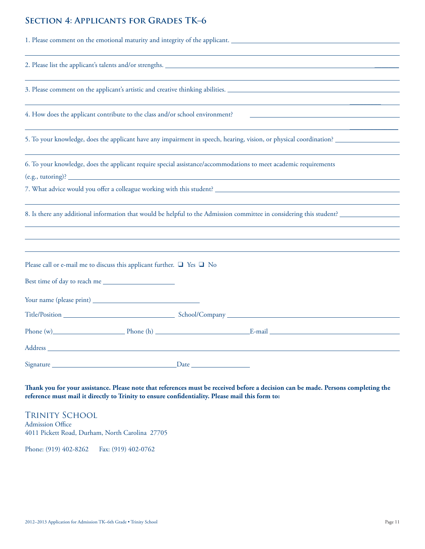# **SECTION 4: APPLICANTS FOR GRADES TK-6**

|                                                                                  |  | 1. Please comment on the emotional maturity and integrity of the applicant.                                          |
|----------------------------------------------------------------------------------|--|----------------------------------------------------------------------------------------------------------------------|
|                                                                                  |  | 2. Please list the applicant's talents and/or strengths.                                                             |
|                                                                                  |  | 3. Please comment on the applicant's artistic and creative thinking abilities.                                       |
| 4. How does the applicant contribute to the class and/or school environment?     |  |                                                                                                                      |
|                                                                                  |  | 5. To your knowledge, does the applicant have any impairment in speech, hearing, vision, or physical coordination?   |
| $(e.g., tutoff)$ ?                                                               |  | 6. To your knowledge, does the applicant require special assistance/accommodations to meet academic requirements     |
|                                                                                  |  |                                                                                                                      |
|                                                                                  |  | 8. Is there any additional information that would be helpful to the Admission committee in considering this student? |
| Please call or e-mail me to discuss this applicant further. $\Box$ Yes $\Box$ No |  |                                                                                                                      |
|                                                                                  |  |                                                                                                                      |
|                                                                                  |  |                                                                                                                      |
|                                                                                  |  | Phone (w) Phone (h) E-mail E-mail E-mail                                                                             |
|                                                                                  |  |                                                                                                                      |
|                                                                                  |  |                                                                                                                      |

Thank you for your assistance. Please note that references must be received before a decision can be made. Persons completing the reference must mail it directly to Trinity to ensure confidentiality. Please mail this form to:

TRINITY SCHOOL Admission Office 4011 Pickett Road, Durham, North Carolina 27705

Phone: (919) 402-8262 Fax: (919) 402-0762